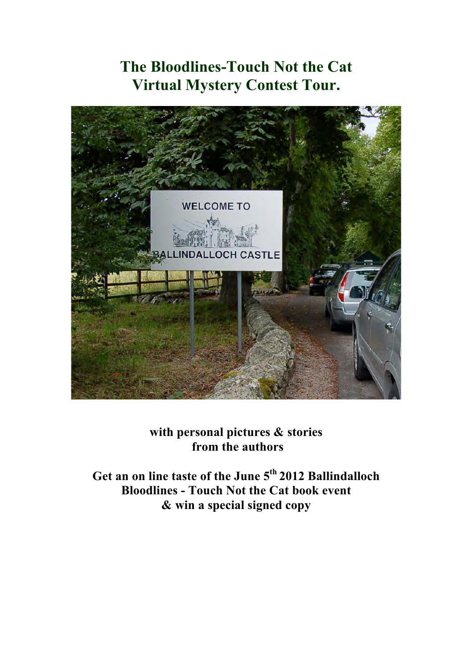# **The Bloodlines-Touch Not the Cat Virtual Mystery Contest Tour.**



**with personal pictures & stories from the authors** 

**Get an on line taste of the June 5th 2012 Ballindalloch Bloodlines - Touch Not the Cat book event & win a special signed copy**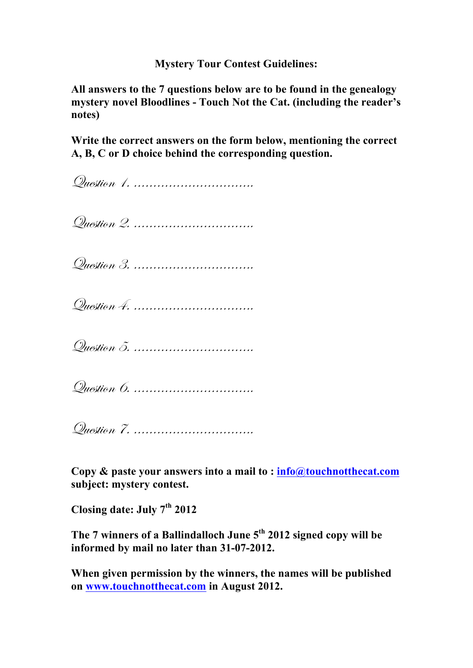#### **Mystery Tour Contest Guidelines:**

**All answers to the 7 questions below are to be found in the genealogy mystery novel Bloodlines - Touch Not the Cat. (including the reader's notes)**

**Write the correct answers on the form below, mentioning the correct A, B, C or D choice behind the corresponding question.**

Question 1. ………………………….

Question 2. ………………………….

Question 3. ………………………….

Question 4. ………………………….

Question 5. ………………………….

Question 6. …………………………

Question 7. ………………………….

**Copy & paste your answers into a mail to : info@touchnotthecat.com subject: mystery contest.**

**Closing date: July 7th 2012**

**The 7 winners of a Ballindalloch June 5th 2012 signed copy will be informed by mail no later than 31-07-2012.**

**When given permission by the winners, the names will be published on www.touchnotthecat.com in August 2012.**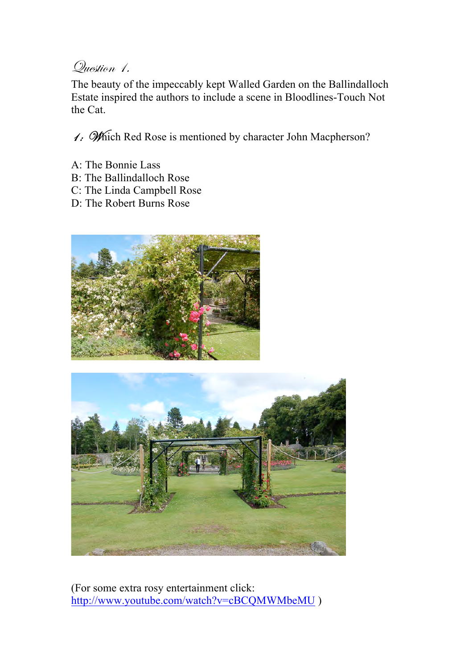#### Question 1.

The beauty of the impeccably kept Walled Garden on the Ballindalloch Estate inspired the authors to include a scene in Bloodlines-Touch Not the Cat.

1: Which Red Rose is mentioned by character John Macpherson?

- A: The Bonnie Lass
- B: The Ballindalloch Rose
- C: The Linda Campbell Rose
- D: The Robert Burns Rose





(For some extra rosy entertainment click: http://www.youtube.com/watch?v=cBCQMWMbeMU )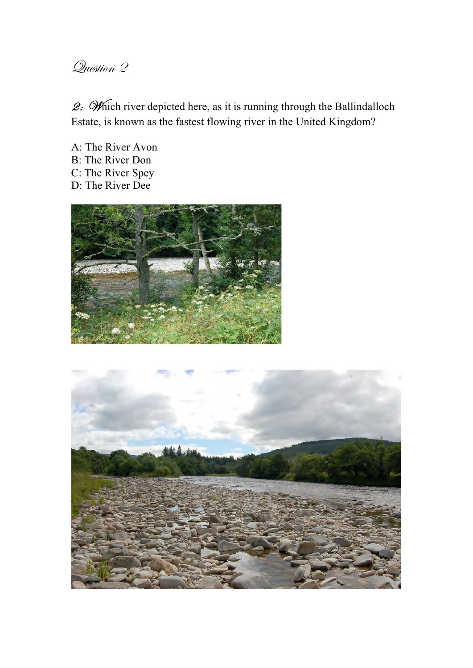2: Which river depicted here, as it is running through the Ballindalloch Estate, is known as the fastest flowing river in the United Kingdom?

A: The River Avon B: The River Don C: The River Spey D: The River Dee



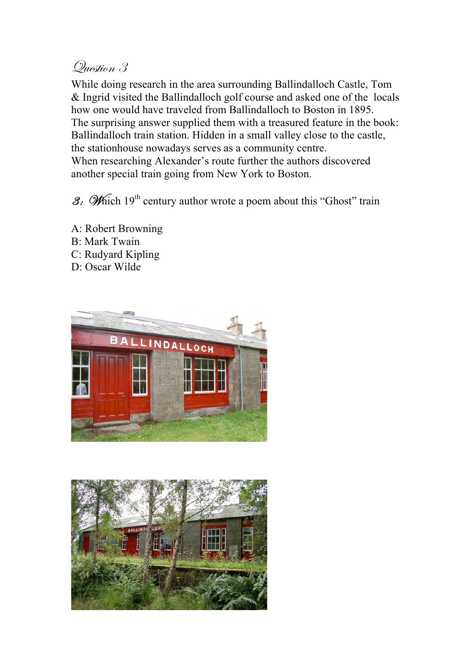While doing research in the area surrounding Ballindalloch Castle, Tom & Ingrid visited the Ballindalloch golf course and asked one of the locals how one would have traveled from Ballindalloch to Boston in 1895. The surprising answer supplied them with a treasured feature in the book: Ballindalloch train station. Hidden in a small valley close to the castle, the stationhouse nowadays serves as a community centre. When researching Alexander's route further the authors discovered another special train going from New York to Boston.

3: Which  $19<sup>th</sup>$  century author wrote a poem about this "Ghost" train

A: Robert Browning B: Mark Twain C: Rudyard Kipling D: Oscar Wilde



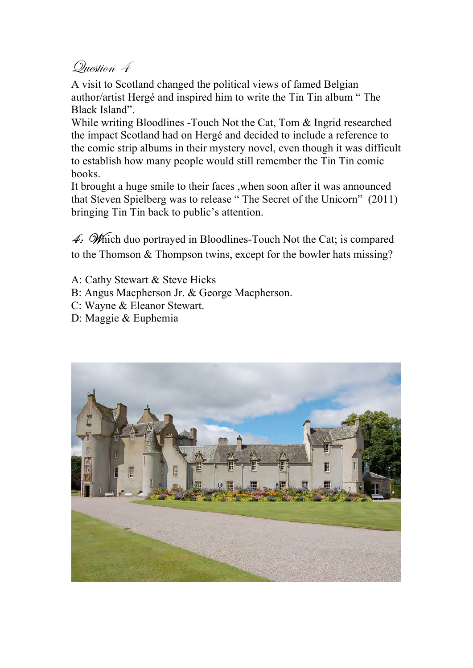A visit to Scotland changed the political views of famed Belgian author/artist Hergé and inspired him to write the Tin Tin album " The Black Island".

While writing Bloodlines -Touch Not the Cat, Tom & Ingrid researched the impact Scotland had on Hergé and decided to include a reference to the comic strip albums in their mystery novel, even though it was difficult to establish how many people would still remember the Tin Tin comic books.

It brought a huge smile to their faces ,when soon after it was announced that Steven Spielberg was to release " The Secret of the Unicorn" (2011) bringing Tin Tin back to public's attention.

 $\mathcal{A}$ :  $\mathcal{W}$  hich duo portrayed in Bloodlines-Touch Not the Cat; is compared to the Thomson & Thompson twins, except for the bowler hats missing?

- A: Cathy Stewart & Steve Hicks
- B: Angus Macpherson Jr. & George Macpherson.
- C: Wayne & Eleanor Stewart.
- D: Maggie & Euphemia

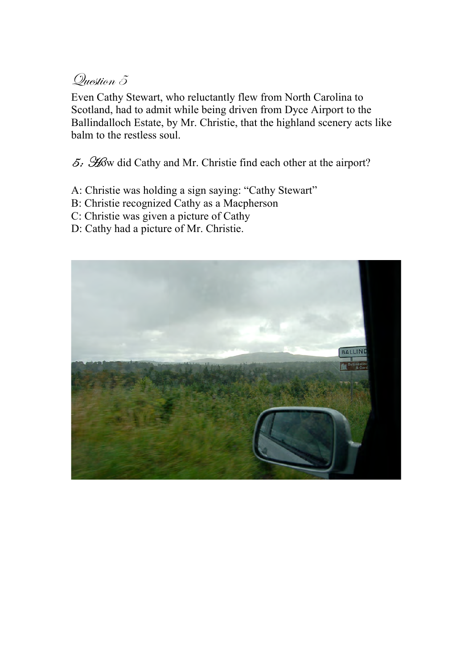Even Cathy Stewart, who reluctantly flew from North Carolina to Scotland, had to admit while being driven from Dyce Airport to the Ballindalloch Estate, by Mr. Christie, that the highland scenery acts like balm to the restless soul.

 $5.$   $\mathscr{H}$  did Cathy and Mr. Christie find each other at the airport?

- A: Christie was holding a sign saying: "Cathy Stewart"
- B: Christie recognized Cathy as a Macpherson
- C: Christie was given a picture of Cathy
- D: Cathy had a picture of Mr. Christie.

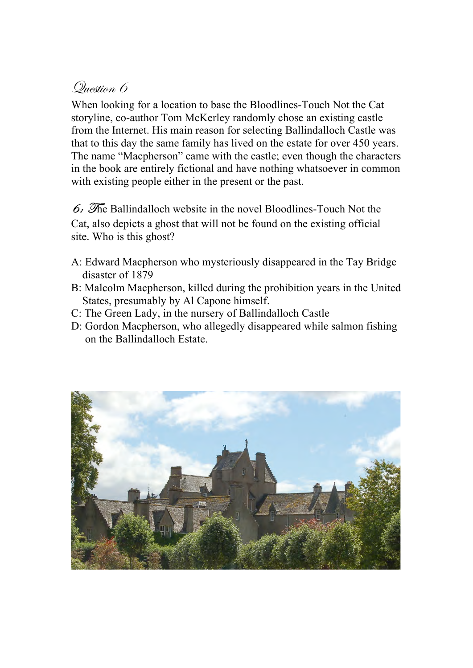When looking for a location to base the Bloodlines-Touch Not the Cat storyline, co-author Tom McKerley randomly chose an existing castle from the Internet. His main reason for selecting Ballindalloch Castle was that to this day the same family has lived on the estate for over 450 years. The name "Macpherson" came with the castle; even though the characters in the book are entirely fictional and have nothing whatsoever in common with existing people either in the present or the past.

 $6.$  The Ballindalloch website in the novel Bloodlines-Touch Not the Cat, also depicts a ghost that will not be found on the existing official site. Who is this ghost?

- A: Edward Macpherson who mysteriously disappeared in the Tay Bridge disaster of 1879
- B: Malcolm Macpherson, killed during the prohibition years in the United States, presumably by Al Capone himself.
- C: The Green Lady, in the nursery of Ballindalloch Castle
- D: Gordon Macpherson, who allegedly disappeared while salmon fishing on the Ballindalloch Estate.